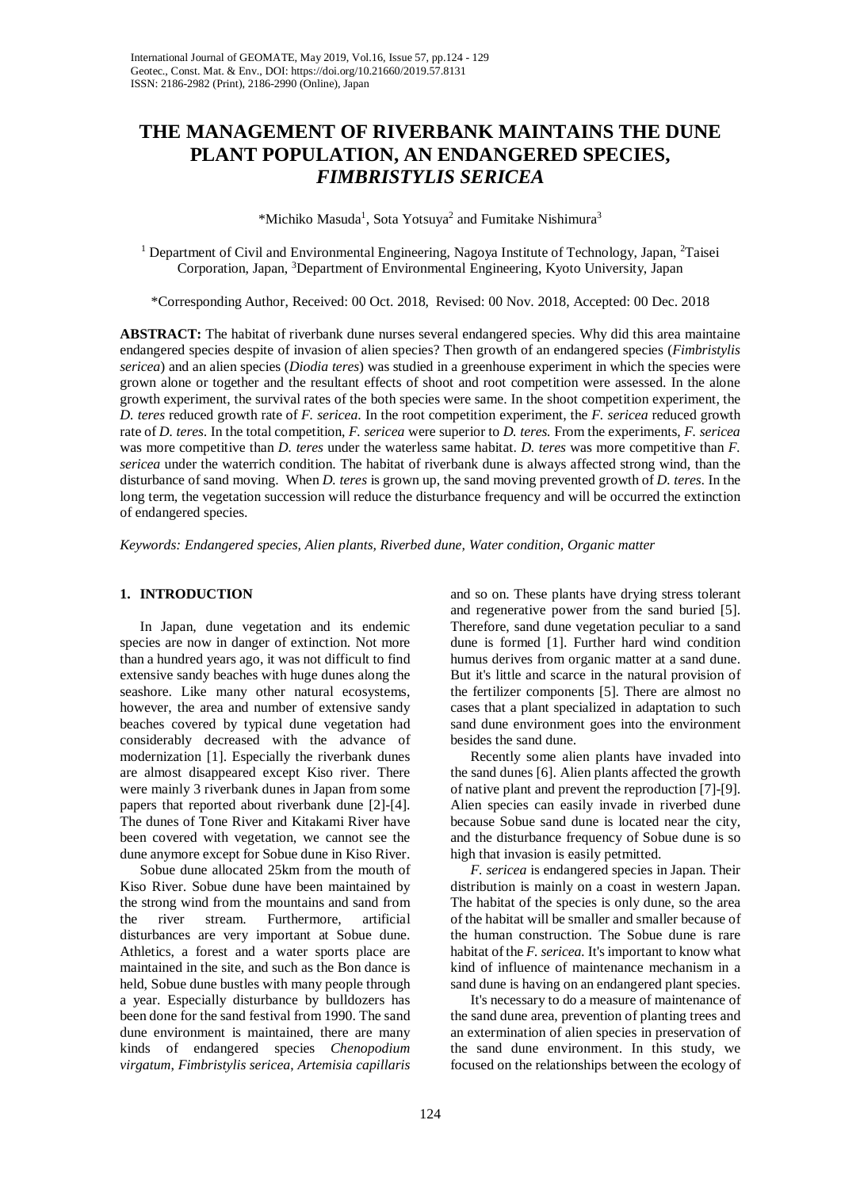# **THE MANAGEMENT OF RIVERBANK MAINTAINS THE DUNE PLANT POPULATION, AN ENDANGERED SPECIES,**  *FIMBRISTYLIS SERICEA*

\*Michiko Masuda<sup>1</sup>, Sota Yotsuya<sup>2</sup> and Fumitake Nishimura<sup>3</sup>

<sup>1</sup> Department of Civil and Environmental Engineering, Nagoya Institute of Technology, Japan, <sup>2</sup>Taisei Corporation, Japan, <sup>3</sup>Department of Environmental Engineering, Kyoto University, Japan

\*Corresponding Author, Received: 00 Oct. 2018, Revised: 00 Nov. 2018, Accepted: 00 Dec. 2018

**ABSTRACT:** The habitat of riverbank dune nurses several endangered species. Why did this area maintaine endangered species despite of invasion of alien species? Then growth of an endangered species (*Fimbristylis sericea*) and an alien species (*Diodia teres*) was studied in a greenhouse experiment in which the species were grown alone or together and the resultant effects of shoot and root competition were assessed. In the alone growth experiment, the survival rates of the both species were same. In the shoot competition experiment, the *D. teres* reduced growth rate of *F. sericea*. In the root competition experiment, the *F. sericea* reduced growth rate of *D. teres*. In the total competition, *F. sericea* were superior to *D. teres.* From the experiments, *F. sericea*  was more competitive than *D. teres* under the waterless same habitat. *D. teres* was more competitive than *F. sericea* under the waterrich condition. The habitat of riverbank dune is always affected strong wind, than the disturbance of sand moving. When *D. teres* is grown up, the sand moving prevented growth of *D. teres*. In the long term, the vegetation succession will reduce the disturbance frequency and will be occurred the extinction of endangered species.

*Keywords: Endangered species, Alien plants, Riverbed dune, Water condition, Organic matter*

# **1. INTRODUCTION**

In Japan, dune vegetation and its endemic species are now in danger of extinction. Not more than a hundred years ago, it was not difficult to find extensive sandy beaches with huge dunes along the seashore. Like many other natural ecosystems, however, the area and number of extensive sandy beaches covered by typical dune vegetation had considerably decreased with the advance of modernization [1]. Especially the riverbank dunes are almost disappeared except Kiso river. There were mainly 3 riverbank dunes in Japan from some papers that reported about riverbank dune [2]-[4]. The dunes of Tone River and Kitakami River have been covered with vegetation, we cannot see the dune anymore except for Sobue dune in Kiso River.

Sobue dune allocated 25km from the mouth of Kiso River. Sobue dune have been maintained by the strong wind from the mountains and sand from the river stream. Furthermore, artificial disturbances are very important at Sobue dune. Athletics, a forest and a water sports place are maintained in the site, and such as the Bon dance is held, Sobue dune bustles with many people through a year. Especially disturbance by bulldozers has been done for the sand festival from 1990. The sand dune environment is maintained, there are many kinds of endangered species *Chenopodium virgatum*, *Fimbristylis sericea*, *Artemisia capillaris*

and so on. These plants have drying stress tolerant and regenerative power from the sand buried [5]. Therefore, sand dune vegetation peculiar to a sand dune is formed [1]. Further hard wind condition humus derives from organic matter at a sand dune. But it's little and scarce in the natural provision of the fertilizer components [5]. There are almost no cases that a plant specialized in adaptation to such sand dune environment goes into the environment besides the sand dune.

Recently some alien plants have invaded into the sand dunes [6]. Alien plants affected the growth of native plant and prevent the reproduction [7]-[9]. Alien species can easily invade in riverbed dune because Sobue sand dune is located near the city, and the disturbance frequency of Sobue dune is so high that invasion is easily petmitted.

*F. sericea* is endangered species in Japan. Their distribution is mainly on a coast in western Japan. The habitat of the species is only dune, so the area of the habitat will be smaller and smaller because of the human construction. The Sobue dune is rare habitat of the *F. sericea.* It's important to know what kind of influence of maintenance mechanism in a sand dune is having on an endangered plant species.

It's necessary to do a measure of maintenance of the sand dune area, prevention of planting trees and an extermination of alien species in preservation of the sand dune environment. In this study, we focused on the relationships between the ecology of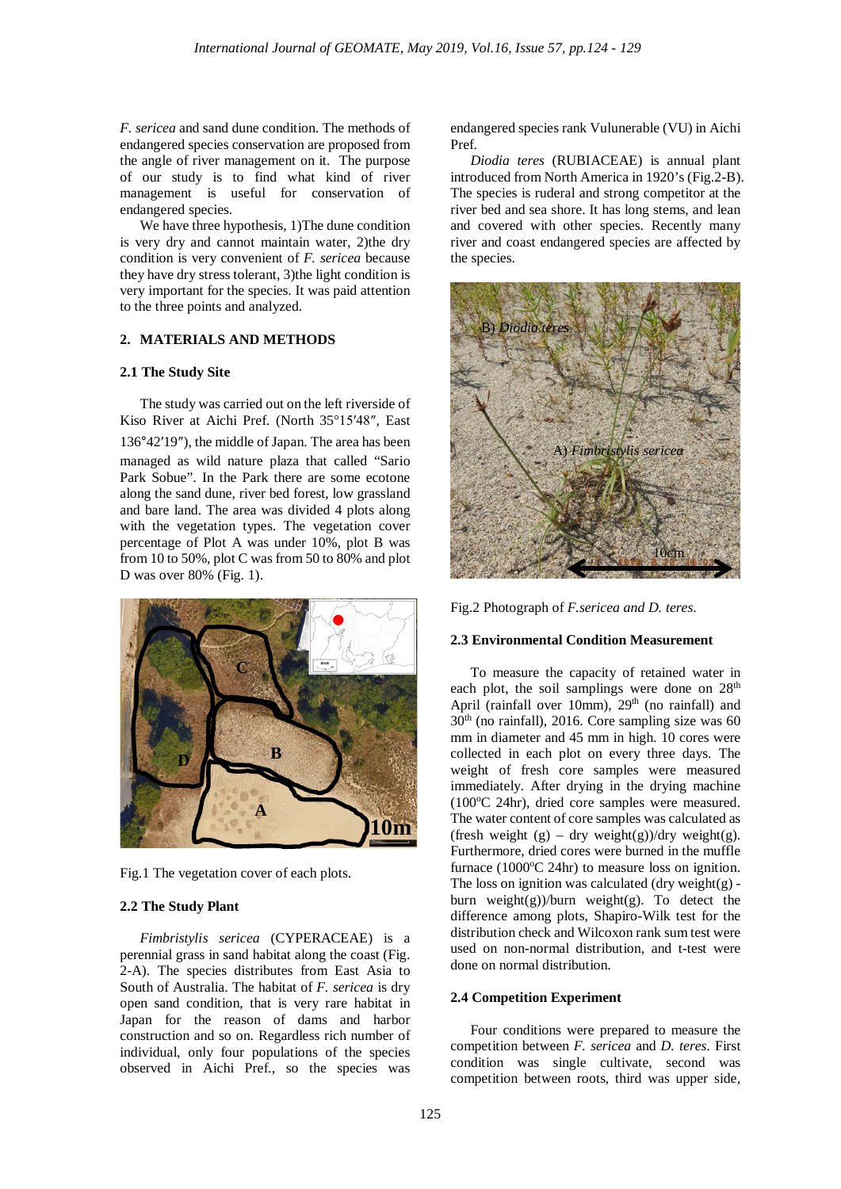*F. sericea* and sand dune condition. The methods of endangered species conservation are proposed from the angle of river management on it. The purpose of our study is to find what kind of river management is useful for conservation of endangered species.

We have three hypothesis, 1)The dune condition is very dry and cannot maintain water, 2)the dry condition is very convenient of *F. sericea* because they have dry stress tolerant, 3)the light condition is very important for the species. It was paid attention to the three points and analyzed.

# **2. MATERIALS AND METHODS**

## **2.1 The Study Site**

The study was carried out on the left riverside of Kiso River at Aichi Pref. (North 35°15′48″, East

136°42′19″), the middle of Japan. The area has been managed as wild nature plaza that called "Sario Park Sobue". In the Park there are some ecotone along the sand dune, river bed forest, low grassland and bare land. The area was divided 4 plots along with the vegetation types. The vegetation cover percentage of Plot A was under 10%, plot B was from 10 to 50%, plot C was from 50 to 80% and plot D was over 80% (Fig. 1).



Fig.1 The vegetation cover of each plots.

# **2.2 The Study Plant**

*Fimbristylis sericea* (CYPERACEAE) is a perennial grass in sand habitat along the coast (Fig. 2-A). The species distributes from East Asia to South of Australia. The habitat of *F. sericea* is dry open sand condition, that is very rare habitat in Japan for the reason of dams and harbor construction and so on. Regardless rich number of individual, only four populations of the species observed in Aichi Pref., so the species was

endangered species rank Vulunerable (VU) in Aichi Pref.

*Diodia teres* (RUBIACEAE) is annual plant introduced from North America in 1920's (Fig.2-B). The species is ruderal and strong competitor at the river bed and sea shore. It has long stems, and lean and covered with other species. Recently many river and coast endangered species are affected by the species.



Fig.2 Photograph of *F.sericea and D. teres*.

# **2.3 Environmental Condition Measurement**

To measure the capacity of retained water in each plot, the soil samplings were done on  $28<sup>th</sup>$ April (rainfall over 10mm),  $29<sup>th</sup>$  (no rainfall) and  $30<sup>th</sup>$  (no rainfall), 2016. Core sampling size was 60 mm in diameter and 45 mm in high. 10 cores were collected in each plot on every three days. The weight of fresh core samples were measured immediately. After drying in the drying machine (100°C 24hr), dried core samples were measured. The water content of core samples was calculated as (fresh weight  $(g)$  – dry weight $(g)$ )/dry weight $(g)$ . Furthermore, dried cores were burned in the muffle furnace  $(1000^{\circ}\text{C } 24\text{hr})$  to measure loss on ignition. The loss on ignition was calculated  $(dry weight(g)$ burn weight(g))/burn weight(g). To detect the difference among plots, Shapiro-Wilk test for the distribution check and Wilcoxon rank sum test were used on non-normal distribution, and t-test were done on normal distribution.

#### **2.4 Competition Experiment**

Four conditions were prepared to measure the competition between *F. sericea* and *D. teres*. First condition was single cultivate, second was competition between roots, third was upper side,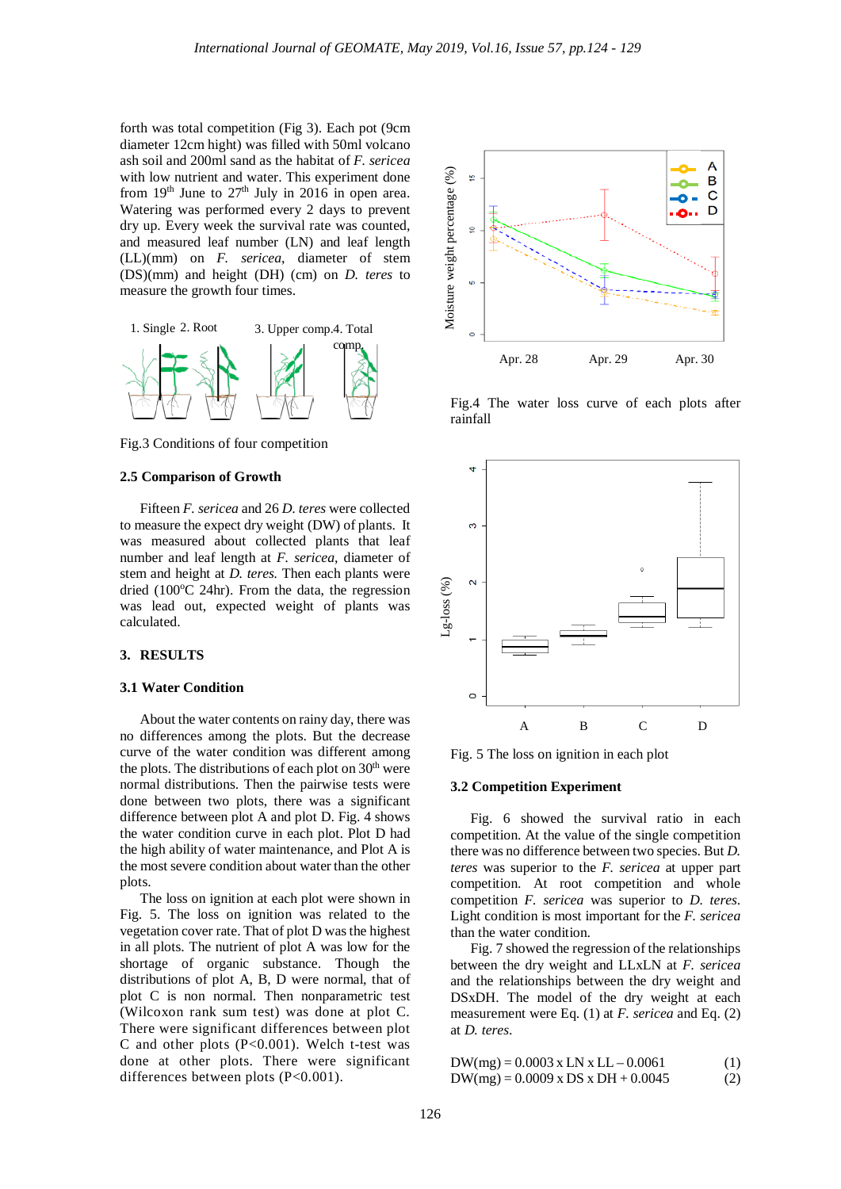forth was total competition (Fig 3). Each pot (9cm diameter 12cm hight) was filled with 50ml volcano ash soil and 200ml sand as the habitat of *F. sericea* with low nutrient and water. This experiment done from  $19<sup>th</sup>$  June to  $27<sup>th</sup>$  July in  $2016$  in open area. Watering was performed every 2 days to prevent dry up. Every week the survival rate was counted, and measured leaf number (LN) and leaf length (LL)(mm) on *F. sericea*, diameter of stem (DS)(mm) and height (DH) (cm) on *D. teres* to measure the growth four times.



Fig.3 Conditions of four competition

#### **2.5 Comparison of Growth**

Fifteen *F. sericea* and 26 *D. teres* were collected to measure the expect dry weight (DW) of plants. It was measured about collected plants that leaf number and leaf length at *F. sericea*, diameter of stem and height at *D. teres.* Then each plants were dried (100°C 24hr). From the data, the regression was lead out, expected weight of plants was calculated.

# **3. RESULTS**

#### **3.1 Water Condition**

About the water contents on rainy day, there was no differences among the plots. But the decrease curve of the water condition was different among the plots. The distributions of each plot on  $30<sup>th</sup>$  were normal distributions. Then the pairwise tests were done between two plots, there was a significant difference between plot A and plot D. Fig. 4 shows the water condition curve in each plot. Plot D had the high ability of water maintenance, and Plot A is the most severe condition about water than the other plots.

The loss on ignition at each plot were shown in Fig. 5. The loss on ignition was related to the vegetation cover rate. That of plot D was the highest in all plots. The nutrient of plot A was low for the shortage of organic substance. Though the distributions of plot A, B, D were normal, that of plot C is non normal. Then nonparametric test (Wilcoxon rank sum test) was done at plot C. There were significant differences between plot C and other plots (P<0.001). Welch t-test was done at other plots. There were significant differences between plots (P<0.001).



Fig.4 The water loss curve of each plots after rainfall



Fig. 5 The loss on ignition in each plot

#### **3.2 Competition Experiment**

Fig. 6 showed the survival ratio in each competition. At the value of the single competition there was no difference between two species. But *D. teres* was superior to the *F. sericea* at upper part competition. At root competition and whole competition *F. sericea* was superior to *D. teres*. Light condition is most important for the *F. sericea* than the water condition.

Fig. 7 showed the regression of the relationships between the dry weight and LLxLN at *F. sericea* and the relationships between the dry weight and DSxDH. The model of the dry weight at each measurement were Eq. (1) at *F. sericea* and Eq. (2) at *D. teres*.

$$
DW(mg) = 0.0003 \times LN \times LL - 0.0061
$$
 (1)  
\n
$$
DW(mg) = 0.0009 \times DS \times DH + 0.0045
$$
 (2)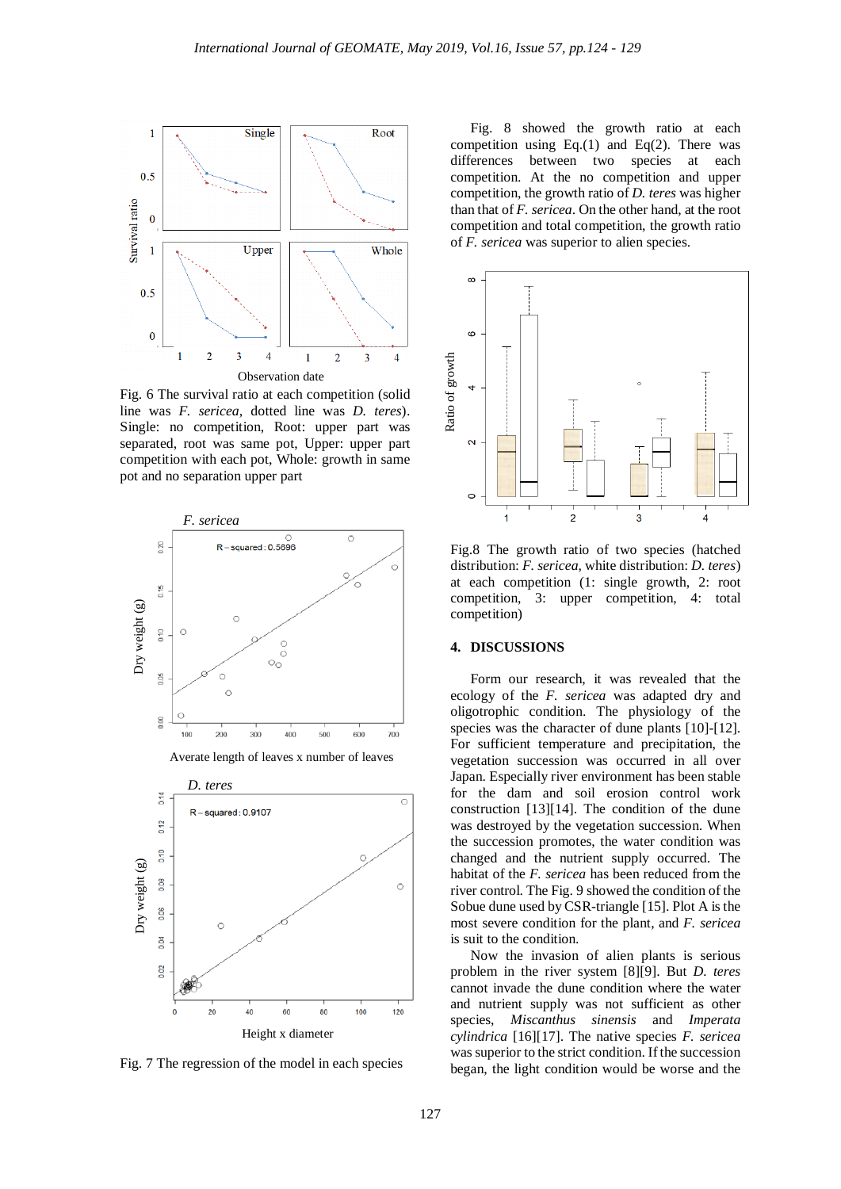

Fig. 6 The survival ratio at each competition (solid line was *F. sericea*, dotted line was *D. teres*). Single: no competition, Root: upper part was separated, root was same pot, Upper: upper part competition with each pot, Whole: growth in same pot and no separation upper part



Fig. 7 The regression of the model in each species

Fig. 8 showed the growth ratio at each competition using Eq.(1) and Eq(2). There was differences between two species at each competition. At the no competition and upper competition, the growth ratio of *D. teres* was higher than that of *F. sericea*. On the other hand, at the root competition and total competition, the growth ratio of *F. sericea* was superior to alien species.



Fig.8 The growth ratio of two species (hatched distribution: *F. sericea*, white distribution: *D. teres*) at each competition (1: single growth, 2: root competition, 3: upper competition, 4: total competition)

# **4. DISCUSSIONS**

Form our research, it was revealed that the ecology of the *F. sericea* was adapted dry and oligotrophic condition. The physiology of the species was the character of dune plants [10]-[12]. For sufficient temperature and precipitation, the vegetation succession was occurred in all over Japan. Especially river environment has been stable for the dam and soil erosion control work construction [13][14]. The condition of the dune was destroyed by the vegetation succession. When the succession promotes, the water condition was changed and the nutrient supply occurred. The habitat of the *F. sericea* has been reduced from the river control. The Fig. 9 showed the condition of the Sobue dune used by CSR-triangle [15]. Plot A is the most severe condition for the plant, and *F. sericea* is suit to the condition.

Now the invasion of alien plants is serious problem in the river system [8][9]. But *D. teres* cannot invade the dune condition where the water and nutrient supply was not sufficient as other species, *Miscanthus sinensis* and *Imperata cylindrica* [16][17]. The native species *F. sericea* was superior to the strict condition. If the succession began, the light condition would be worse and the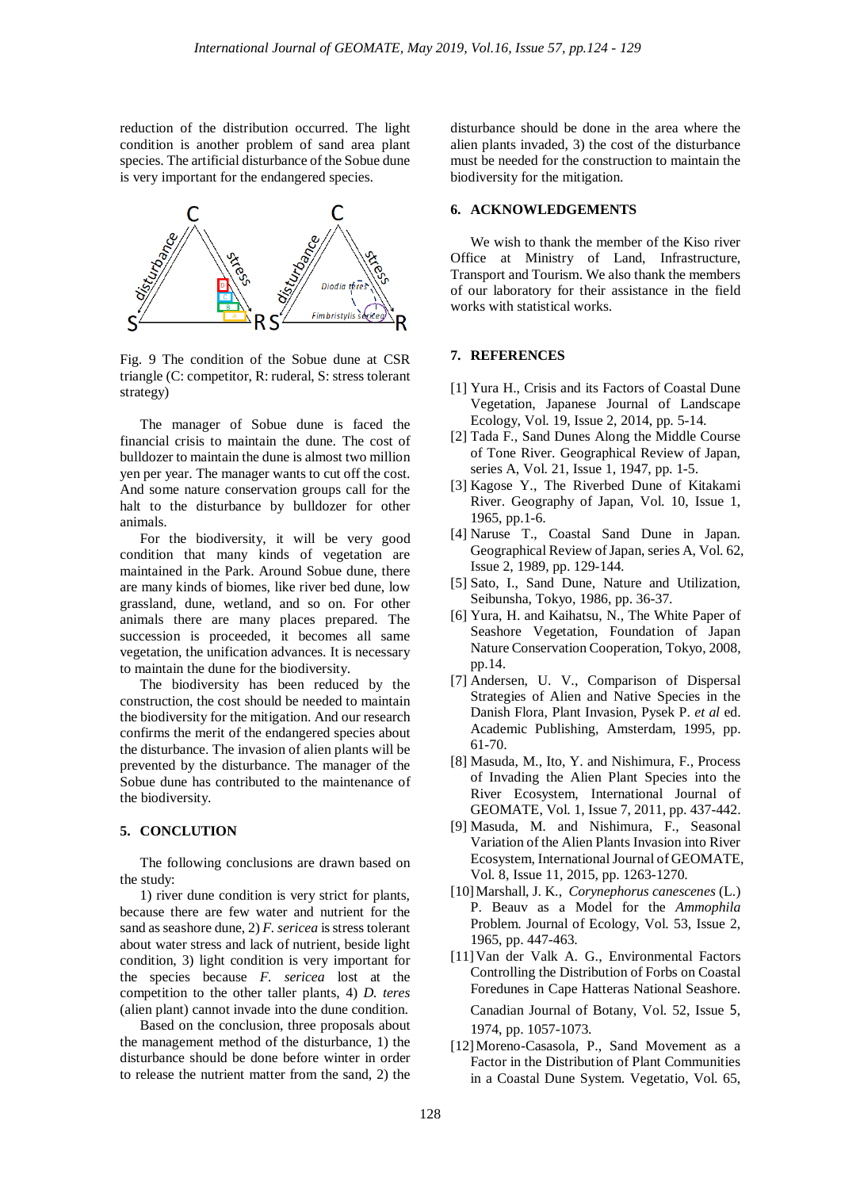reduction of the distribution occurred. The light condition is another problem of sand area plant species. The artificial disturbance of the Sobue dune is very important for the endangered species.



Fig. 9 The condition of the Sobue dune at CSR triangle (C: competitor, R: ruderal, S: stress tolerant strategy)

The manager of Sobue dune is faced the financial crisis to maintain the dune. The cost of bulldozer to maintain the dune is almost two million yen per year. The manager wants to cut off the cost. And some nature conservation groups call for the halt to the disturbance by bulldozer for other animals.

For the biodiversity, it will be very good condition that many kinds of vegetation are maintained in the Park. Around Sobue dune, there are many kinds of biomes, like river bed dune, low grassland, dune, wetland, and so on. For other animals there are many places prepared. The succession is proceeded, it becomes all same vegetation, the unification advances. It is necessary to maintain the dune for the biodiversity.

The biodiversity has been reduced by the construction, the cost should be needed to maintain the biodiversity for the mitigation. And our research confirms the merit of the endangered species about the disturbance. The invasion of alien plants will be prevented by the disturbance. The manager of the Sobue dune has contributed to the maintenance of the biodiversity.

### **5. CONCLUTION**

The following conclusions are drawn based on the study:

1) river dune condition is very strict for plants, because there are few water and nutrient for the sand as seashore dune, 2) *F. sericea* is stress tolerant about water stress and lack of nutrient, beside light condition, 3) light condition is very important for the species because *F. sericea* lost at the competition to the other taller plants, 4) *D. teres* (alien plant) cannot invade into the dune condition.

Based on the conclusion, three proposals about the management method of the disturbance, 1) the disturbance should be done before winter in order to release the nutrient matter from the sand, 2) the disturbance should be done in the area where the alien plants invaded, 3) the cost of the disturbance must be needed for the construction to maintain the biodiversity for the mitigation.

#### **6. ACKNOWLEDGEMENTS**

We wish to thank the member of the Kiso river Office at Ministry of Land, Infrastructure, Transport and Tourism. We also thank the members of our laboratory for their assistance in the field works with statistical works.

## **7. REFERENCES**

- [1] Yura H., Crisis and its Factors of Coastal Dune Vegetation, Japanese Journal of Landscape Ecology, Vol. 19, Issue 2, 2014, pp. 5-14.
- [2] Tada F., Sand Dunes Along the Middle Course of Tone River. Geographical Review of Japan, series A, Vol. 21, Issue 1, 1947, pp. 1-5.
- [3] Kagose Y., The Riverbed Dune of Kitakami River. Geography of Japan, Vol. 10, Issue 1, 1965, pp.1-6.
- [4] Naruse T., Coastal Sand Dune in Japan. Geographical Review of Japan, series A, Vol. 62, Issue 2, 1989, pp. 129-144.
- [5] Sato, I., Sand Dune, Nature and Utilization, Seibunsha, Tokyo, 1986, pp. 36-37.
- [6] Yura, H. and Kaihatsu, N., The White Paper of Seashore Vegetation, Foundation of Japan Nature Conservation Cooperation, Tokyo, 2008, pp.14.
- [7] Andersen, U. V., Comparison of Dispersal Strategies of Alien and Native Species in the Danish Flora, Plant Invasion, Pysek P. *et al* ed. Academic Publishing, Amsterdam, 1995, pp. 61-70.
- [8] Masuda, M., Ito, Y. and Nishimura, F., Process of Invading the Alien Plant Species into the River Ecosystem, International Journal of GEOMATE, Vol. 1, Issue 7, 2011, pp. 437-442.
- [9] Masuda, M. and Nishimura, F., Seasonal Variation of the Alien Plants Invasion into River Ecosystem, International Journal of GEOMATE, Vol. 8, Issue 11, 2015, pp. 1263-1270.
- [10]Marshall, J. K., *Corynephorus canescenes* (L.) P. Beauv as a Model for the *Ammophila* Problem. Journal of Ecology, Vol. 53, Issue 2, 1965, pp. 447-463.
- [11]Van der Valk A. G., Environmental Factors Controlling the Distribution of Forbs on Coastal Foredunes in Cape Hatteras National Seashore.

Canadian Journal of Botany, Vol. 52, Issue 5, 1974, pp. 1057-1073.

[12] Moreno-Casasola, P., Sand Movement as a Factor in the Distribution of Plant Communities in a Coastal Dune System. Vegetatio, Vol. 65,